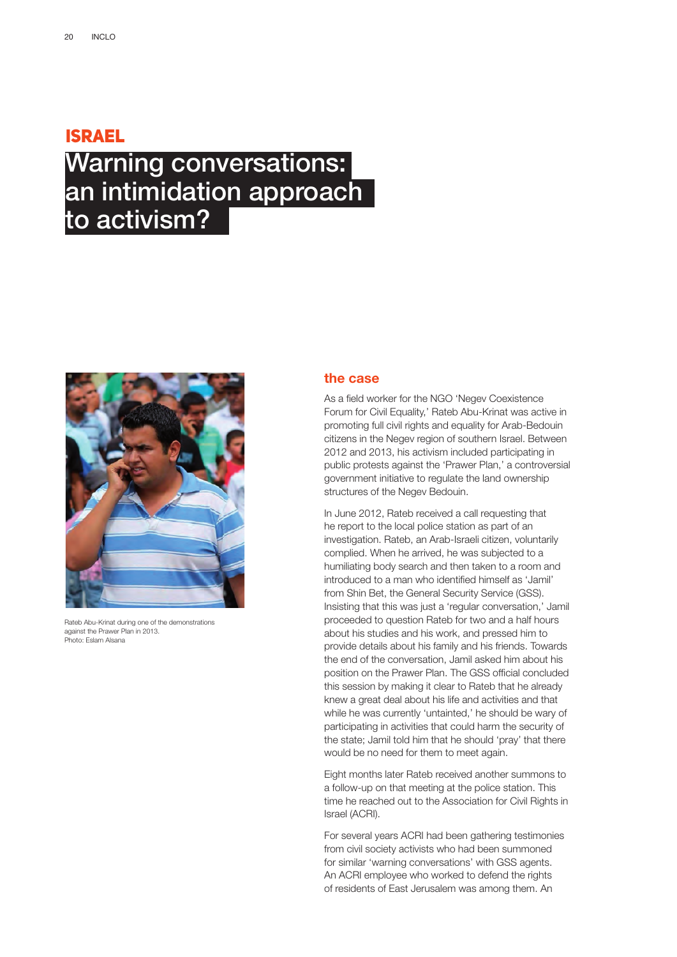### ISRAEL

## Warning conversations: an intimidation approach to activism?



Rateb Abu-Krinat during one of the demonstrations against the Prawer Plan in 2013. Photo: Eslam Alsana

### **the case**

As a field worker for the NGO 'Negev Coexistence Forum for Civil Equality,' Rateb Abu-Krinat was active in promoting full civil rights and equality for Arab-Bedouin citizens in the Negev region of southern Israel. Between 2012 and 2013, his activism included participating in public protests against the 'Prawer Plan,' a controversial government initiative to regulate the land ownership structures of the Negev Bedouin.

In June 2012, Rateb received a call requesting that he report to the local police station as part of an investigation. Rateb, an Arab-Israeli citizen, voluntarily complied. When he arrived, he was subjected to a humiliating body search and then taken to a room and introduced to a man who identified himself as 'Jamil' from Shin Bet, the General Security Service (GSS). Insisting that this was just a 'regular conversation,' Jamil proceeded to question Rateb for two and a half hours about his studies and his work, and pressed him to provide details about his family and his friends. Towards the end of the conversation, Jamil asked him about his position on the Prawer Plan. The GSS official concluded this session by making it clear to Rateb that he already knew a great deal about his life and activities and that while he was currently 'untainted,' he should be wary of participating in activities that could harm the security of the state; Jamil told him that he should 'pray' that there would be no need for them to meet again.

Eight months later Rateb received another summons to a follow-up on that meeting at the police station. This time he reached out to the Association for Civil Rights in Israel (ACRI).

For several years ACRI had been gathering testimonies from civil society activists who had been summoned for similar 'warning conversations' with GSS agents. An ACRI employee who worked to defend the rights of residents of East Jerusalem was among them. An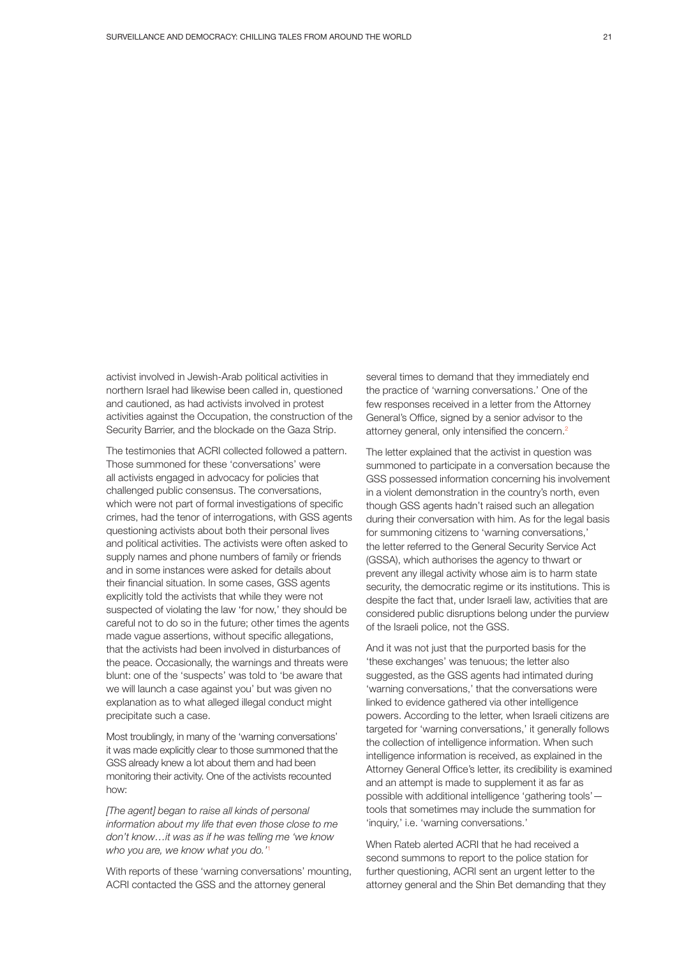activist involved in Jewish-Arab political activities in northern Israel had likewise been called in, questioned and cautioned, as had activists involved in protest activities against the Occupation, the construction of the Security Barrier, and the blockade on the Gaza Strip.

The testimonies that ACRI collected followed a pattern. Those summoned for these 'conversations' were all activists engaged in advocacy for policies that challenged public consensus. The conversations, which were not part of formal investigations of specific crimes, had the tenor of interrogations, with GSS agents questioning activists about both their personal lives and political activities. The activists were often asked to supply names and phone numbers of family or friends and in some instances were asked for details about their financial situation. In some cases, GSS agents explicitly told the activists that while they were not suspected of violating the law 'for now,' they should be careful not to do so in the future; other times the agents made vague assertions, without specific allegations, that the activists had been involved in disturbances of the peace. Occasionally, the warnings and threats were blunt: one of the 'suspects' was told to 'be aware that we will launch a case against you' but was given no explanation as to what alleged illegal conduct might precipitate such a case.

Most troublingly, in many of the 'warning conversations' it was made explicitly clear to those summoned thatthe GSS already knew a lot about them and had been monitoring their activity. One of the activists recounted how:

*[The agent] began to raise all kinds of personal information about my life that even those close to me don't know…it was as if he was telling me 'we know who you are, we know what you do.'*<sup>1</sup>

With reports of these 'warning conversations' mounting, ACRI contacted the GSS and the attorney general

several times to demand that they immediately end the practice of 'warning conversations.' One of the few responses received in a letter from the Attorney General's Office, signed by a senior advisor to the attorney general, only intensified the concern.<sup>2</sup>

The letter explained that the activist in question was summoned to participate in a conversation because the GSS possessed information concerning his involvement in a violent demonstration in the country's north, even though GSS agents hadn't raised such an allegation during their conversation with him. As for the legal basis for summoning citizens to 'warning conversations,' the letter referred to the General Security Service Act (GSSA), which authorises the agency to thwart or prevent any illegal activity whose aim is to harm state security, the democratic regime or its institutions. This is despite the fact that, under Israeli law, activities that are considered public disruptions belong under the purview of the Israeli police, not the GSS.

And it was not just that the purported basis for the 'these exchanges' was tenuous; the letter also suggested, as the GSS agents had intimated during 'warning conversations,' that the conversations were linked to evidence gathered via other intelligence powers. According to the letter, when Israeli citizens are targeted for 'warning conversations,' it generally follows the collection of intelligence information. When such intelligence information is received, as explained in the Attorney General Office's letter, its credibility is examined and an attempt is made to supplement it as far as possible with additional intelligence 'gathering tools' tools that sometimes may include the summation for 'inquiry,' i.e. 'warning conversations.'

When Rateb alerted ACRI that he had received a second summons to report to the police station for further questioning, ACRI sent an urgent letter to the attorney general and the Shin Bet demanding that they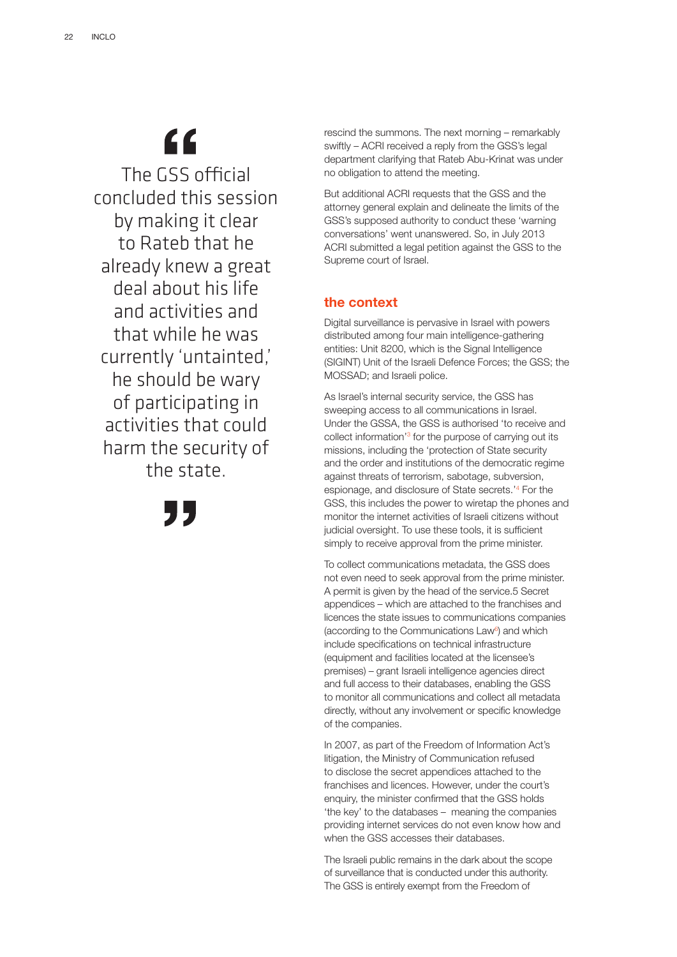## "

The GSS official concluded this session by making it clear to Rateb that he already knew a great deal about his life and activities and that while he was currently 'untainted,' he should be wary of participating in activities that could harm the security of the state.

95

rescind the summons. The next morning – remarkably swiftly – ACRI received a reply from the GSS's legal department clarifying that Rateb Abu-Krinat was under no obligation to attend the meeting.

But additional ACRI requests that the GSS and the attorney general explain and delineate the limits of the GSS's supposed authority to conduct these 'warning conversations' went unanswered. So, in July 2013 ACRI submitted a legal petition against the GSS to the Supreme court of Israel.

### **the context**

Digital surveillance is pervasive in Israel with powers distributed among four main intelligence-gathering entities: Unit 8200, which is the Signal Intelligence (SIGINT) Unit of the Israeli Defence Forces; the GSS; the MOSSAD; and Israeli police.

As Israel's internal security service, the GSS has sweeping access to all communications in Israel. Under the GSSA, the GSS is authorised 'to receive and collect information<sup>'3</sup> for the purpose of carrying out its missions, including the 'protection of State security and the order and institutions of the democratic regime against threats of terrorism, sabotage, subversion, espionage, and disclosure of State secrets.'4 For the GSS, this includes the power to wiretap the phones and monitor the internet activities of Israeli citizens without judicial oversight. To use these tools, it is sufficient simply to receive approval from the prime minister.

To collect communications metadata, the GSS does not even need to seek approval from the prime minister. A permit is given by the head of the service.5 Secret appendices – which are attached to the franchises and licences the state issues to communications companies (according to the Communications Law<sup>6</sup>) and which include specifications on technical infrastructure (equipment and facilities located at the licensee's premises) – grant Israeli intelligence agencies direct and full access to their databases, enabling the GSS to monitor all communications and collect all metadata directly, without any involvement or specific knowledge of the companies.

In 2007, as part of the Freedom of Information Act's litigation, the Ministry of Communication refused to disclose the secret appendices attached to the franchises and licences. However, under the court's enquiry, the minister confirmed that the GSS holds 'the key' to the databases – meaning the companies providing internet services do not even know how and when the GSS accesses their databases.

The Israeli public remains in the dark about the scope of surveillance that is conducted under this authority. The GSS is entirely exempt from the Freedom of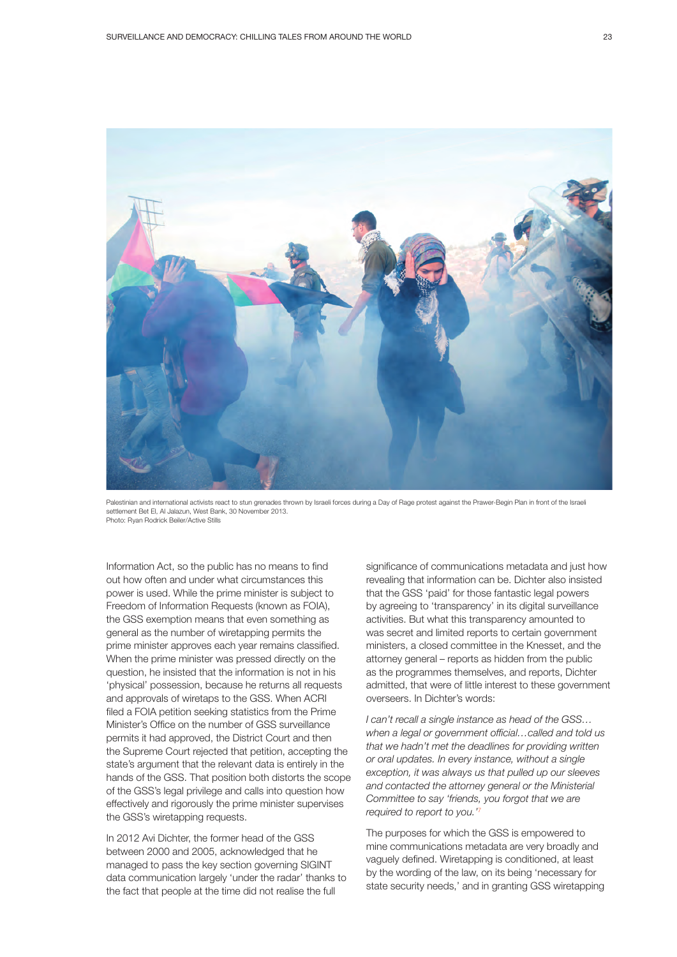

Palestinian and international activists react to stun grenades thrown by Israeli forces during a Day of Rage protest against the Prawer-Begin Plan in front of the Israeli settlement Bet El, Al Jalazun, West Bank, 30 November 2013. Photo: Ryan Rodrick Beiler/Active Stills

Information Act, so the public has no means to find out how often and under what circumstances this power is used. While the prime minister is subject to Freedom of Information Requests (known as FOIA), the GSS exemption means that even something as general as the number of wiretapping permits the prime minister approves each year remains classified. When the prime minister was pressed directly on the question, he insisted that the information is not in his 'physical' possession, because he returns all requests and approvals of wiretaps to the GSS. When ACRI filed a FOIA petition seeking statistics from the Prime Minister's Office on the number of GSS surveillance permits it had approved, the District Court and then the Supreme Court rejected that petition, accepting the state's argument that the relevant data is entirely in the hands of the GSS. That position both distorts the scope of the GSS's legal privilege and calls into question how effectively and rigorously the prime minister supervises the GSS's wiretapping requests.

In 2012 Avi Dichter, the former head of the GSS between 2000 and 2005, acknowledged that he managed to pass the key section governing SIGINT data communication largely 'under the radar' thanks to the fact that people at the time did not realise the full

significance of communications metadata and just how revealing that information can be. Dichter also insisted that the GSS 'paid' for those fantastic legal powers by agreeing to 'transparency' in its digital surveillance activities. But what this transparency amounted to was secret and limited reports to certain government ministers, a closed committee in the Knesset, and the attorney general – reports as hidden from the public as the programmes themselves, and reports, Dichter admitted, that were of little interest to these government overseers. In Dichter's words:

*I can't recall a single instance as head of the GSS… when a legal or government official…called and told us that we hadn't met the deadlines for providing written or oral updates. In every instance, without a single exception, it was always us that pulled up our sleeves and contacted the attorney general or the Ministerial Committee to say 'friends, you forgot that we are required to report to you.'*<sup>7</sup>

The purposes for which the GSS is empowered to mine communications metadata are very broadly and vaguely defined. Wiretapping is conditioned, at least by the wording of the law, on its being 'necessary for state security needs,' and in granting GSS wiretapping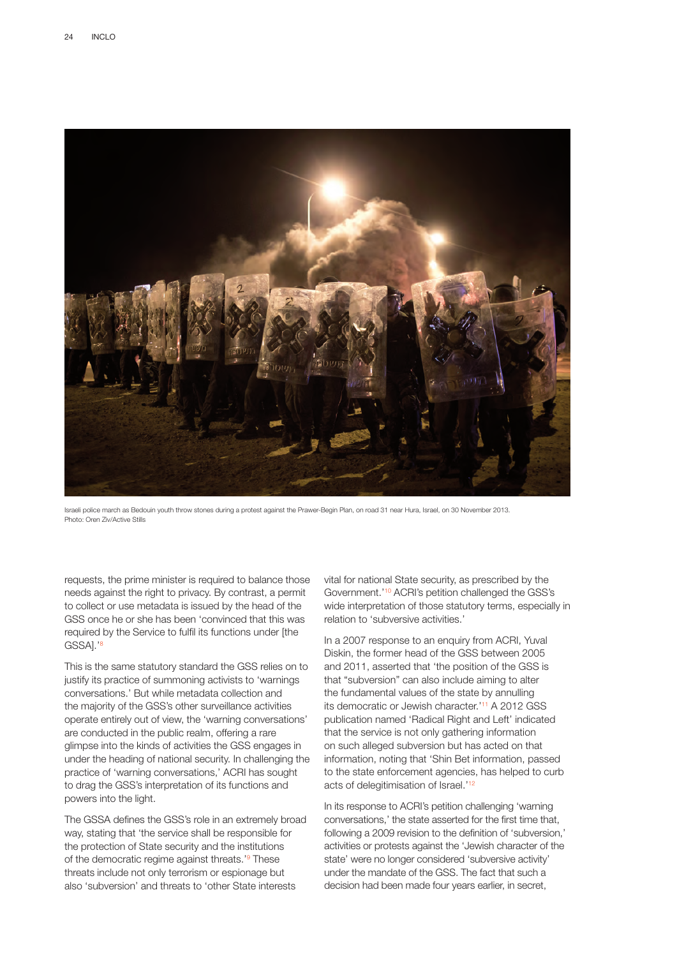

Israeli police march as Bedouin youth throw stones during a protest against the Prawer-Begin Plan, on road 31 near Hura, Israel, on 30 November 2013. Photo: Oren Ziv/Active Stills

requests, the prime minister is required to balance those needs against the right to privacy. By contrast, a permit to collect or use metadata is issued by the head of the GSS once he or she has been 'convinced that this was required by the Service to fulfil its functions under [the GSSA].'8

This is the same statutory standard the GSS relies on to justify its practice of summoning activists to 'warnings conversations.' But while metadata collection and the majority of the GSS's other surveillance activities operate entirely out of view, the 'warning conversations' are conducted in the public realm, offering a rare glimpse into the kinds of activities the GSS engages in under the heading of national security. In challenging the practice of 'warning conversations,' ACRI has sought to drag the GSS's interpretation of its functions and powers into the light.

The GSSA defines the GSS's role in an extremely broad way, stating that 'the service shall be responsible for the protection of State security and the institutions of the democratic regime against threats.'<sup>9</sup> These threats include not only terrorism or espionage but also 'subversion' and threats to 'other State interests

vital for national State security, as prescribed by the Government.'10 ACRI's petition challenged the GSS's wide interpretation of those statutory terms, especially in relation to 'subversive activities.'

In a 2007 response to an enquiry from ACRI, Yuval Diskin, the former head of the GSS between 2005 and 2011, asserted that 'the position of the GSS is that "subversion" can also include aiming to alter the fundamental values of the state by annulling its democratic or Jewish character.'11 A 2012 GSS publication named 'Radical Right and Left' indicated that the service is not only gathering information on such alleged subversion but has acted on that information, noting that 'Shin Bet information, passed to the state enforcement agencies, has helped to curb acts of delegitimisation of Israel.'<sup>12</sup>

In its response to ACRI's petition challenging 'warning conversations,' the state asserted for the first time that, following a 2009 revision to the definition of 'subversion,' activities or protests against the 'Jewish character of the state' were no longer considered 'subversive activity' under the mandate of the GSS. The fact that such a decision had been made four years earlier, in secret,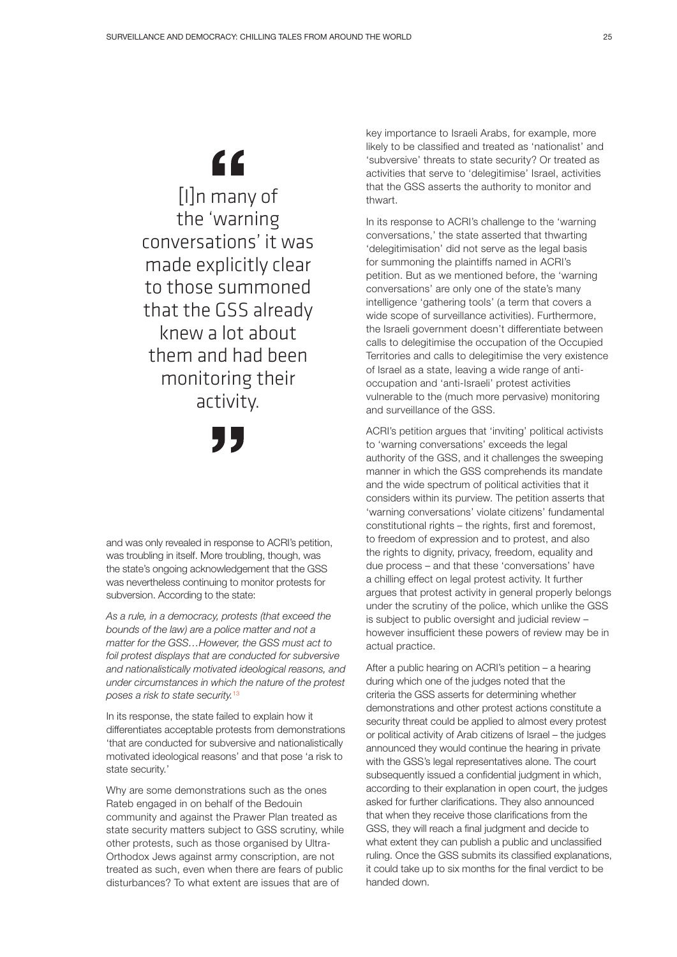# $66$

[I]n many of the 'warning conversations' it was made explicitly clear to those summoned that the GSS already knew a lot about them and had been monitoring their activity.

and was only revealed in response to ACRI's petition, was troubling in itself. More troubling, though, was the state's ongoing acknowledgement that the GSS was nevertheless continuing to monitor protests for subversion. According to the state:

*As a rule, in a democracy, protests (that exceed the bounds of the law) are a police matter and not a matter for the GSS…However, the GSS must act to foil protest displays that are conducted for subversive and nationalistically motivated ideological reasons, and under circumstances in which the nature of the protest poses a risk to state security.*<sup>13</sup>

In its response, the state failed to explain how it differentiates acceptable protests from demonstrations 'that are conducted for subversive and nationalistically motivated ideological reasons' and that pose 'a risk to state security.'

Why are some demonstrations such as the ones Rateb engaged in on behalf of the Bedouin community and against the Prawer Plan treated as state security matters subject to GSS scrutiny, while other protests, such as those organised by Ultra-Orthodox Jews against army conscription, are not treated as such, even when there are fears of public disturbances? To what extent are issues that are of

key importance to Israeli Arabs, for example, more likely to be classified and treated as 'nationalist' and 'subversive' threats to state security? Or treated as activities that serve to 'delegitimise' Israel, activities that the GSS asserts the authority to monitor and thwart.

In its response to ACRI's challenge to the 'warning conversations,' the state asserted that thwarting 'delegitimisation' did not serve as the legal basis for summoning the plaintiffs named in ACRI's petition. But as we mentioned before, the 'warning conversations' are only one of the state's many intelligence 'gathering tools' (a term that covers a wide scope of surveillance activities). Furthermore, the Israeli government doesn't differentiate between calls to delegitimise the occupation of the Occupied Territories and calls to delegitimise the very existence of Israel as a state, leaving a wide range of antioccupation and 'anti-Israeli' protest activities vulnerable to the (much more pervasive) monitoring and surveillance of the GSS.

ACRI's petition argues that 'inviting' political activists to 'warning conversations' exceeds the legal authority of the GSS, and it challenges the sweeping manner in which the GSS comprehends its mandate and the wide spectrum of political activities that it considers within its purview. The petition asserts that 'warning conversations' violate citizens' fundamental constitutional rights – the rights, first and foremost, to freedom of expression and to protest, and also the rights to dignity, privacy, freedom, equality and due process – and that these 'conversations' have a chilling effect on legal protest activity. It further argues that protest activity in general properly belongs under the scrutiny of the police, which unlike the GSS is subject to public oversight and judicial review – however insufficient these powers of review may be in actual practice.

After a public hearing on ACRI's petition – a hearing during which one of the judges noted that the criteria the GSS asserts for determining whether demonstrations and other protest actions constitute a security threat could be applied to almost every protest or political activity of Arab citizens of Israel – the judges announced they would continue the hearing in private with the GSS's legal representatives alone. The court subsequently issued a confidential judgment in which, according to their explanation in open court, the judges asked for further clarifications. They also announced that when they receive those clarifications from the GSS, they will reach a final judgment and decide to what extent they can publish a public and unclassified ruling. Once the GSS submits its classified explanations, it could take up to six months for the final verdict to be handed down.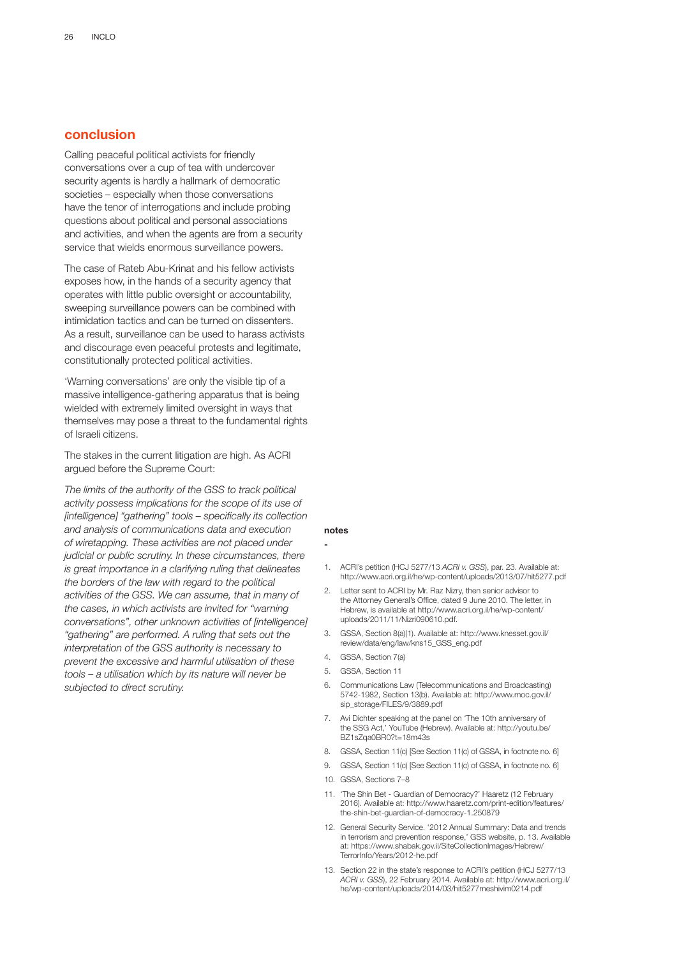### **conclusion**

Calling peaceful political activists for friendly conversations over a cup of tea with undercover security agents is hardly a hallmark of democratic societies – especially when those conversations have the tenor of interrogations and include probing questions about political and personal associations and activities, and when the agents are from a security service that wields enormous surveillance powers.

The case of Rateb Abu-Krinat and his fellow activists exposes how, in the hands of a security agency that operates with little public oversight or accountability, sweeping surveillance powers can be combined with intimidation tactics and can be turned on dissenters. As a result, surveillance can be used to harass activists and discourage even peaceful protests and legitimate, constitutionally protected political activities.

'Warning conversations' are only the visible tip of a massive intelligence-gathering apparatus that is being wielded with extremely limited oversight in ways that themselves may pose a threat to the fundamental rights of Israeli citizens.

The stakes in the current litigation are high. As ACRI argued before the Supreme Court:

*The limits of the authority of the GSS to track political activity possess implications for the scope of its use of [intelligence] "gathering" tools – specifically its collection and analysis of communications data and execution of wiretapping. These activities are not placed under judicial or public scrutiny. In these circumstances, there is great importance in a clarifying ruling that delineates the borders of the law with regard to the political activities of the GSS. We can assume, that in many of the cases, in which activists are invited for "warning conversations", other unknown activities of [intelligence] "gathering" are performed. A ruling that sets out the interpretation of the GSS authority is necessary to prevent the excessive and harmful utilisation of these tools – a utilisation which by its nature will never be subjected to direct scrutiny.*

### **notes**

**-**

- 1. ACRI's petition (HCJ 5277/13 *ACRI v. GSS*), par. 23. Available at: http://www.acri.org.il/he/wp-content/uploads/2013/07/hit5277.pdf
- 2. Letter sent to ACRI by Mr. Raz Nizry, then senior advisor to the Attorney General's Office, dated 9 June 2010. The letter, in Hebrew, is available at http://www.acri.org.il/he/wp-content/ uploads/2011/11/Nizri090610.pdf.
- 3. GSSA, Section 8(a)(1). Available at: http://www.knesset.gov.il/ review/data/eng/law/kns15\_GSS\_eng.pdf
- 4. GSSA, Section 7(a)
- 5. GSSA, Section 11
- 6. Communications Law (Telecommunications and Broadcasting) 5742-1982, Section 13(b). Available at: http://www.moc.gov.il/ sip\_storage/FILES/9/3889.pdf
- 7. Avi Dichter speaking at the panel on 'The 10th anniversary of the SSG Act,' YouTube (Hebrew). Available at: http://youtu.be/ BZ1sZqa0BR0?t=18m43s
- 8. GSSA, Section 11(c) [See Section 11(c) of GSSA, in footnote no. 6]
- 9. GSSA, Section 11(c) [See Section 11(c) of GSSA, in footnote no. 6]
- 10. GSSA, Sections 7–8
- 11. 'The Shin Bet Guardian of Democracy?' Haaretz (12 February 2016). Available at: http://www.haaretz.com/print-edition/features/ the-shin-bet-guardian-of-democracy-1.250879
- 12. General Security Service. '2012 Annual Summary: Data and trends in terrorism and prevention response,' GSS website, p. 13. Available at: https://www.shabak.gov.il/SiteCollectionImages/Hebrew/ TerrorInfo/Years/2012-he.pdf
- 13. Section 22 in the state's response to ACRI's petition (HCJ 5277/13 *ACRI v. GSS*), 22 February 2014. Available at: http://www.acri.org.il/ he/wp-content/uploads/2014/03/hit5277meshivim0214.pdf